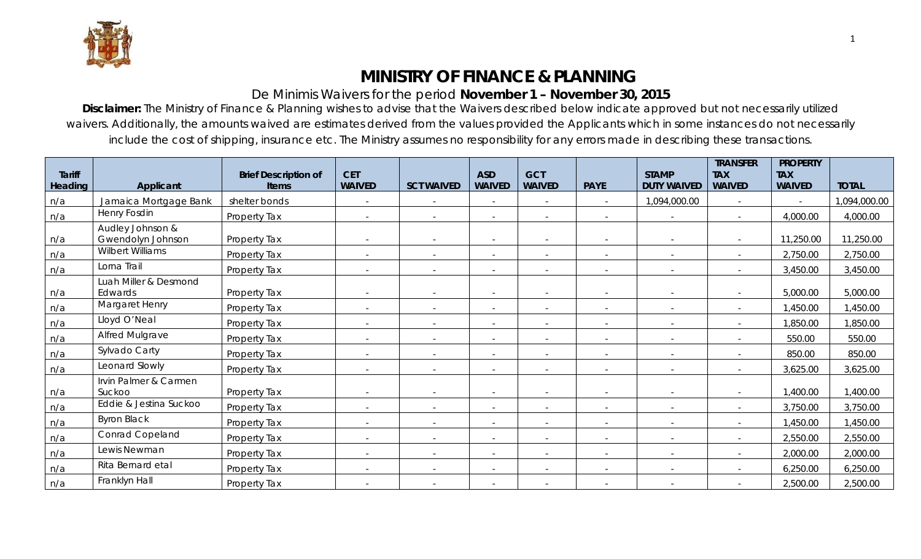

## **MINISTRY OF FINANCE & PLANNING**

## De Minimis Waivers for the period **November 1 – November 30, 2015**

**Disclaimer:** The Ministry of Finance & Planning wishes to advise that the Waivers described below indicate approved but not necessarily utilized waivers. Additionally, the amounts waived are estimates derived from the values provided the Applicants which in some instances do not necessarily include the cost of shipping, insurance etc. The Ministry assumes no responsibility for any errors made in describing these transactions.

| <b>Tariff</b><br><b>Heading</b> | Applicant                             | <b>Brief Description of</b><br><b>Items</b> | <b>CET</b><br><b>WAIVED</b> | <b>SCT WAIVED</b>        | <b>ASD</b><br><b>WAIVED</b> | <b>GCT</b><br><b>WAIVED</b> | <b>PAYE</b>              | <b>STAMP</b><br><b>DUTY WAIVED</b> | <b>TRANSFER</b><br><b>TAX</b><br><b>WAIVED</b> | <b>PROPERTY</b><br><b>TAX</b><br><b>WAIVED</b> | <b>TOTAL</b> |
|---------------------------------|---------------------------------------|---------------------------------------------|-----------------------------|--------------------------|-----------------------------|-----------------------------|--------------------------|------------------------------------|------------------------------------------------|------------------------------------------------|--------------|
| n/a                             | Jamaica Mortgage Bank                 | shelter bonds                               | $\overline{\phantom{a}}$    | $\sim$                   |                             | $\overline{\phantom{a}}$    | $\sim$                   | 1,094,000.00                       | $\overline{\phantom{a}}$                       |                                                | 1,094,000.00 |
| n/a                             | <b>Henry Fosdin</b>                   | Property Tax                                | $\overline{\phantom{a}}$    | $\overline{\phantom{a}}$ |                             | $\overline{\phantom{a}}$    | $\overline{\phantom{a}}$ | $\overline{\phantom{a}}$           |                                                | 4,000.00                                       | 4,000.00     |
| n/a                             | Audley Johnson &<br>Gwendolyn Johnson | Property Tax                                | $\overline{\phantom{a}}$    | $\sim$                   | $\overline{\phantom{a}}$    | $\overline{\phantom{a}}$    | $\overline{\phantom{a}}$ | $\sim$                             | $\overline{a}$                                 | 11,250.00                                      | 11,250.00    |
| n/a                             | Wilbert Williams                      | Property Tax                                | $\overline{\phantom{a}}$    | $\overline{\phantom{a}}$ | $\overline{\phantom{a}}$    | $\overline{\phantom{a}}$    | $\overline{\phantom{a}}$ | $\sim$                             | $\overline{\phantom{a}}$                       | 2,750.00                                       | 2,750.00     |
| n/a                             | Lorna Trail                           | Property Tax                                | $\overline{\phantom{a}}$    | $\sim$                   | $\overline{\phantom{a}}$    | $\overline{\phantom{a}}$    | $\overline{\phantom{a}}$ | $\overline{\phantom{a}}$           |                                                | 3,450.00                                       | 3,450.00     |
| n/a                             | Luah Miller & Desmond<br>Edwards      | Property Tax                                | $\overline{\phantom{a}}$    | $\overline{\phantom{a}}$ | $\overline{\phantom{a}}$    | $\overline{\phantom{a}}$    | $\overline{\phantom{a}}$ | $\sim$                             | $\overline{a}$                                 | 5,000.00                                       | 5,000.00     |
| n/a                             | Margaret Henry                        | Property Tax                                | $\overline{\phantom{a}}$    | $\overline{\phantom{a}}$ | $\overline{\phantom{a}}$    | $\overline{\phantom{a}}$    | $\sim$                   | $\sim$                             | $\overline{\phantom{a}}$                       | 1,450.00                                       | 1,450.00     |
| n/a                             | Lloyd O'Neal                          | Property Tax                                | $\overline{\phantom{a}}$    | $\overline{\phantom{a}}$ | $\overline{\phantom{a}}$    | $\overline{\phantom{a}}$    | $\overline{\phantom{a}}$ | $\overline{\phantom{a}}$           |                                                | 1,850.00                                       | 1,850.00     |
| n/a                             | <b>Alfred Mulgrave</b>                | Property Tax                                | $\overline{\phantom{a}}$    |                          | $\overline{\phantom{a}}$    |                             | $\sim$                   |                                    |                                                | 550.00                                         | 550.00       |
| n/a                             | Sylvado Carty                         | Property Tax                                | $\sim$                      |                          |                             |                             | $\overline{\phantom{a}}$ | $\overline{\phantom{a}}$           |                                                | 850.00                                         | 850.00       |
| n/a                             | Leonard Slowly                        | Property Tax                                | $\overline{\phantom{a}}$    | $\overline{\phantom{a}}$ | $\overline{\phantom{a}}$    | $\overline{\phantom{a}}$    | $\overline{\phantom{a}}$ | $\sim$                             | $\sim$                                         | 3,625.00                                       | 3,625.00     |
| n/a                             | Irvin Palmer & Carmen<br>Suckoo       | Property Tax                                | $\overline{\phantom{a}}$    | $\overline{\phantom{a}}$ | $\overline{\phantom{a}}$    |                             |                          |                                    |                                                | 1,400.00                                       | 1,400.00     |
| n/a                             | Eddie & Jestina Suckoo                | Property Tax                                | $\sim$                      | $\overline{\phantom{a}}$ | $\overline{a}$              | $\overline{\phantom{a}}$    | $\sim$                   | $\sim$                             | $\sim$                                         | 3,750.00                                       | 3,750.00     |
| n/a                             | <b>Byron Black</b>                    | Property Tax                                | $\overline{\phantom{a}}$    | $\sim$                   | $\overline{\phantom{a}}$    | $\overline{\phantom{a}}$    | $\overline{\phantom{a}}$ | $\sim$                             | $\overline{\phantom{a}}$                       | 1,450.00                                       | 1,450.00     |
| n/a                             | <b>Conrad Copeland</b>                | Property Tax                                | $\overline{\phantom{a}}$    | $\overline{\phantom{0}}$ | $\overline{\phantom{a}}$    | $\overline{\phantom{a}}$    | $\overline{\phantom{a}}$ | $\overline{\phantom{a}}$           |                                                | 2,550.00                                       | 2,550.00     |
| n/a                             | Lewis Newman                          | Property Tax                                | $\overline{\phantom{a}}$    |                          | $\overline{\phantom{a}}$    | $\overline{\phantom{a}}$    | $\overline{\phantom{a}}$ | $\overline{\phantom{a}}$           |                                                | 2,000.00                                       | 2,000.00     |
| n/a                             | Rita Bernard etal                     | Property Tax                                | $\overline{\phantom{a}}$    | $\sim$                   | $\overline{\phantom{a}}$    | $\overline{\phantom{a}}$    | $\overline{\phantom{a}}$ | $\overline{\phantom{a}}$           |                                                | 6,250.00                                       | 6,250.00     |
| n/a                             | Franklyn Hall                         | Property Tax                                | $\overline{\phantom{a}}$    |                          |                             |                             |                          |                                    |                                                | 2,500.00                                       | 2,500.00     |